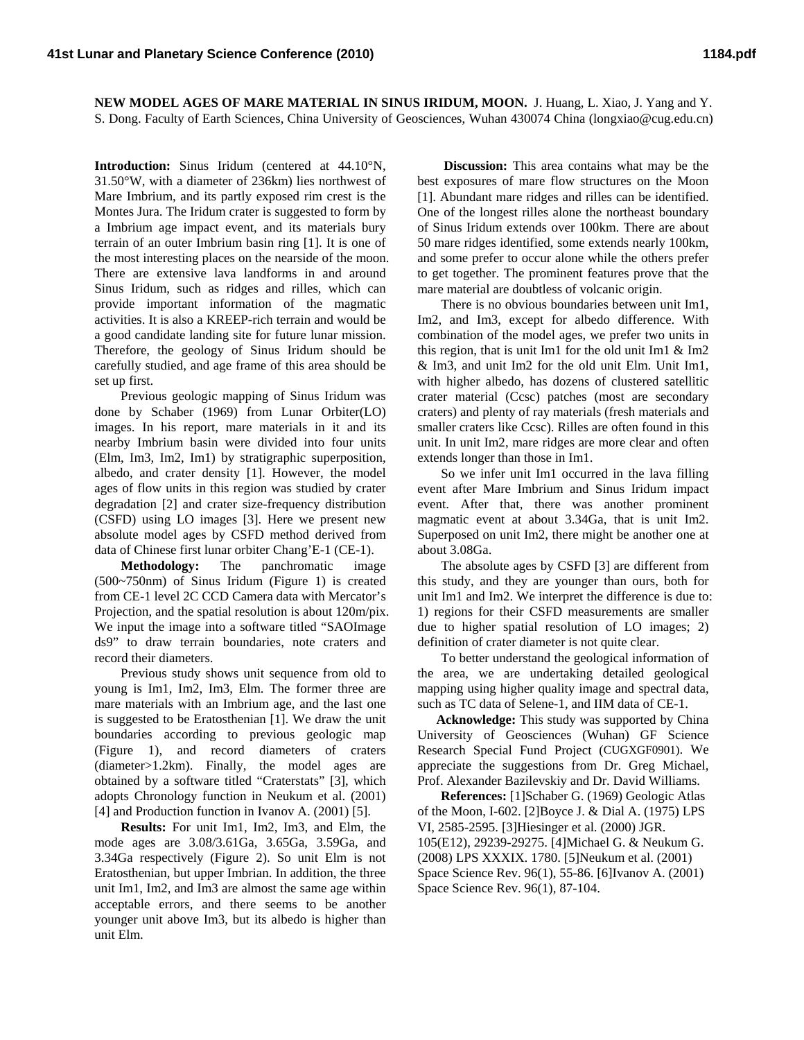**NEW MODEL AGES OF MARE MATERIAL IN SINUS IRIDUM, MOON.** J. Huang, L. Xiao, J. Yang and Y. S. Dong. Faculty of Earth Sciences, China University of Geosciences, Wuhan 430074 China (longxiao@cug.edu.cn)

**Introduction:** Sinus Iridum (centered at 44.10°N, 31.50°W, with a diameter of 236km) lies northwest of Mare Imbrium, and its partly exposed rim crest is the Montes Jura. The Iridum crater is suggested to form by a Imbrium age impact event, and its materials bury terrain of an outer Imbrium basin ring [1]. It is one of the most interesting places on the nearside of the moon. There are extensive lava landforms in and around Sinus Iridum, such as ridges and rilles, which can provide important information of the magmatic activities. It is also a KREEP-rich terrain and would be a good candidate landing site for future lunar mission. Therefore, the geology of Sinus Iridum should be carefully studied, and age frame of this area should be set up first.

Previous geologic mapping of Sinus Iridum was done by Schaber (1969) from Lunar Orbiter(LO) images. In his report, mare materials in it and its nearby Imbrium basin were divided into four units (Elm, Im3, Im2, Im1) by stratigraphic superposition, albedo, and crater density [1]. However, the model ages of flow units in this region was studied by crater degradation [2] and crater size-frequency distribution (CSFD) using LO images [3]. Here we present new absolute model ages by CSFD method derived from data of Chinese first lunar orbiter Chang'E-1 (CE-1).

**Methodology:** The panchromatic image (500~750nm) of Sinus Iridum (Figure 1) is created from CE-1 level 2C CCD Camera data with Mercator's Projection, and the spatial resolution is about 120m/pix. We input the image into a software titled "SAOImage ds9" to draw terrain boundaries, note craters and record their diameters.

Previous study shows unit sequence from old to young is Im1, Im2, Im3, Elm. The former three are mare materials with an Imbrium age, and the last one is suggested to be Eratosthenian [1]. We draw the unit boundaries according to previous geologic map (Figure 1), and record diameters of craters (diameter>1.2km). Finally, the model ages are obtained by a software titled "Craterstats" [3], which adopts Chronology function in Neukum et al. (2001) [4] and Production function in Ivanov A. (2001) [5].

**Results:** For unit Im1, Im2, Im3, and Elm, the mode ages are 3.08/3.61Ga, 3.65Ga, 3.59Ga, and 3.34Ga respectively (Figure 2). So unit Elm is not Eratosthenian, but upper Imbrian. In addition, the three unit Im1, Im2, and Im3 are almost the same age within acceptable errors, and there seems to be another younger unit above Im3, but its albedo is higher than unit Elm.

**Discussion:** This area contains what may be the best exposures of mare flow structures on the Moon [1]. Abundant mare ridges and rilles can be identified. One of the longest rilles alone the northeast boundary of Sinus Iridum extends over 100km. There are about 50 mare ridges identified, some extends nearly 100km, and some prefer to occur alone while the others prefer to get together. The prominent features prove that the mare material are doubtless of volcanic origin.

There is no obvious boundaries between unit Im1, Im2, and Im3, except for albedo difference. With combination of the model ages, we prefer two units in this region, that is unit Im1 for the old unit Im1 & Im2 & Im3, and unit Im2 for the old unit Elm. Unit Im1, with higher albedo, has dozens of clustered satellitic crater material (Ccsc) patches (most are secondary craters) and plenty of ray materials (fresh materials and smaller craters like Ccsc). Rilles are often found in this unit. In unit Im2, mare ridges are more clear and often extends longer than those in Im1.

So we infer unit Im1 occurred in the lava filling event after Mare Imbrium and Sinus Iridum impact event. After that, there was another prominent magmatic event at about 3.34Ga, that is unit Im2. Superposed on unit Im2, there might be another one at about 3.08Ga.

The absolute ages by CSFD [3] are different from this study, and they are younger than ours, both for unit Im1 and Im2. We interpret the difference is due to: 1) regions for their CSFD measurements are smaller due to higher spatial resolution of LO images; 2) definition of crater diameter is not quite clear.

To better understand the geological information of the area, we are undertaking detailed geological mapping using higher quality image and spectral data, such as TC data of Selene-1, and IIM data of CE-1.

**Acknowledge:** This study was supported by China University of Geosciences (Wuhan) GF Science Research Special Fund Project (CUGXGF0901). We appreciate the suggestions from Dr. Greg Michael, Prof. Alexander Bazilevskiy and Dr. David Williams.

**References:** [1]Schaber G. (1969) Geologic Atlas of the Moon, I-602. [2]Boyce J. & Dial A. (1975) LPS VI, 2585-2595. [3]Hiesinger et al. (2000) JGR. 105(E12), 29239-29275. [4]Michael G. & Neukum G. (2008) LPS XXXIX. 1780. [5]Neukum et al. (2001) Space Science Rev. 96(1), 55-86. [6]Ivanov A. (2001) Space Science Rev. 96(1), 87-104.